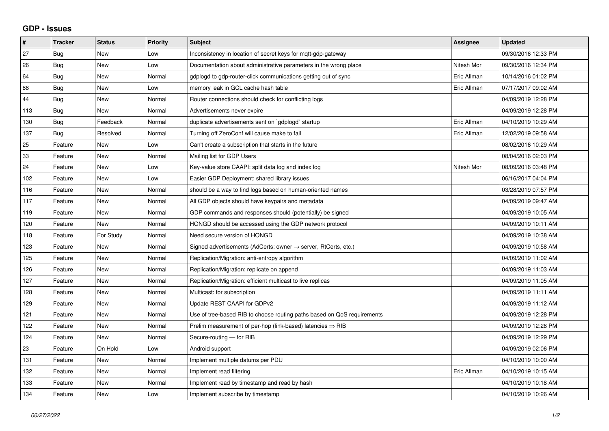## **GDP - Issues**

| $\vert$ # | <b>Tracker</b> | <b>Status</b> | <b>Priority</b> | <b>Subject</b>                                                          | <b>Assignee</b> | <b>Updated</b>      |
|-----------|----------------|---------------|-----------------|-------------------------------------------------------------------------|-----------------|---------------------|
| 27        | Bug            | <b>New</b>    | Low             | Inconsistency in location of secret keys for mqtt-gdp-gateway           |                 | 09/30/2016 12:33 PM |
| 26        | Bug            | <b>New</b>    | Low             | Documentation about administrative parameters in the wrong place        | Nitesh Mor      | 09/30/2016 12:34 PM |
| 64        | <b>Bug</b>     | <b>New</b>    | Normal          | gdplogd to gdp-router-click communications getting out of sync          | Eric Allman     | 10/14/2016 01:02 PM |
| 88        | <b>Bug</b>     | New           | Low             | memory leak in GCL cache hash table                                     | Eric Allman     | 07/17/2017 09:02 AM |
| 44        | Bug            | New           | Normal          | Router connections should check for conflicting logs                    |                 | 04/09/2019 12:28 PM |
| 113       | <b>Bug</b>     | <b>New</b>    | Normal          | Advertisements never expire                                             |                 | 04/09/2019 12:28 PM |
| 130       | Bug            | Feedback      | Normal          | duplicate advertisements sent on `gdplogd` startup                      | Eric Allman     | 04/10/2019 10:29 AM |
| 137       | Bug            | Resolved      | Normal          | Turning off ZeroConf will cause make to fail                            | Eric Allman     | 12/02/2019 09:58 AM |
| 25        | Feature        | <b>New</b>    | Low             | Can't create a subscription that starts in the future                   |                 | 08/02/2016 10:29 AM |
| 33        | Feature        | <b>New</b>    | Normal          | Mailing list for GDP Users                                              |                 | 08/04/2016 02:03 PM |
| 24        | Feature        | <b>New</b>    | Low             | Key-value store CAAPI: split data log and index log                     | Nitesh Mor      | 08/09/2016 03:48 PM |
| 102       | Feature        | New           | Low             | Easier GDP Deployment: shared library issues                            |                 | 06/16/2017 04:04 PM |
| 116       | Feature        | <b>New</b>    | Normal          | should be a way to find logs based on human-oriented names              |                 | 03/28/2019 07:57 PM |
| 117       | Feature        | <b>New</b>    | Normal          | All GDP objects should have keypairs and metadata                       |                 | 04/09/2019 09:47 AM |
| 119       | Feature        | New           | Normal          | GDP commands and responses should (potentially) be signed               |                 | 04/09/2019 10:05 AM |
| 120       | Feature        | <b>New</b>    | Normal          | HONGD should be accessed using the GDP network protocol                 |                 | 04/09/2019 10:11 AM |
| 118       | Feature        | For Study     | Normal          | Need secure version of HONGD                                            |                 | 04/09/2019 10:38 AM |
| 123       | Feature        | <b>New</b>    | Normal          | Signed advertisements (AdCerts: owner → server, RtCerts, etc.)          |                 | 04/09/2019 10:58 AM |
| 125       | Feature        | <b>New</b>    | Normal          | Replication/Migration: anti-entropy algorithm                           |                 | 04/09/2019 11:02 AM |
| 126       | Feature        | <b>New</b>    | Normal          | Replication/Migration: replicate on append                              |                 | 04/09/2019 11:03 AM |
| 127       | Feature        | <b>New</b>    | Normal          | Replication/Migration: efficient multicast to live replicas             |                 | 04/09/2019 11:05 AM |
| 128       | Feature        | <b>New</b>    | Normal          | Multicast: for subscription                                             |                 | 04/09/2019 11:11 AM |
| 129       | Feature        | New           | Normal          | Update REST CAAPI for GDPv2                                             |                 | 04/09/2019 11:12 AM |
| 121       | Feature        | <b>New</b>    | Normal          | Use of tree-based RIB to choose routing paths based on QoS requirements |                 | 04/09/2019 12:28 PM |
| 122       | Feature        | <b>New</b>    | Normal          | Prelim measurement of per-hop (link-based) latencies $\Rightarrow$ RIB  |                 | 04/09/2019 12:28 PM |
| 124       | Feature        | New           | Normal          | Secure-routing - for RIB                                                |                 | 04/09/2019 12:29 PM |
| 23        | Feature        | On Hold       | Low             | Android support                                                         |                 | 04/09/2019 02:06 PM |
| 131       | Feature        | New           | Normal          | Implement multiple datums per PDU                                       |                 | 04/10/2019 10:00 AM |
| 132       | Feature        | <b>New</b>    | Normal          | Implement read filtering                                                | Eric Allman     | 04/10/2019 10:15 AM |
| 133       | Feature        | <b>New</b>    | Normal          | Implement read by timestamp and read by hash                            |                 | 04/10/2019 10:18 AM |
| 134       | Feature        | New           | Low             | Implement subscribe by timestamp                                        |                 | 04/10/2019 10:26 AM |